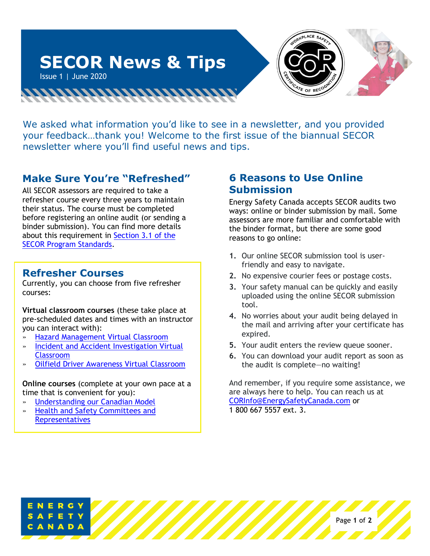

We asked what information you'd like to see in a newsletter, and you provided your feedback…thank you! Welcome to the first issue of the biannual SECOR newsletter where you'll find useful news and tips.

## **Make Sure You're "Refreshed"**

All SECOR assessors are required to take a refresher course every three years to maintain their status. The course must be completed before registering an online audit (or sending a binder submission). You can find more details about this requirement in [Section 3.1 of the](https://www.energysafetycanada.com/EnergySafetyCanada/media/ESC/COR%20Materials%20-%20Standards/SAC_PRO-004_SECOR_Assessor_Audit_Registration.pdf)  [SECOR Program Standards.](https://www.energysafetycanada.com/EnergySafetyCanada/media/ESC/COR%20Materials%20-%20Standards/SAC_PRO-004_SECOR_Assessor_Audit_Registration.pdf)

## **Refresher Courses**

Currently, you can choose from five refresher courses:

**Virtual classroom courses** (these take place at pre-scheduled dates and times with an instructor you can interact with):

- » [Hazard Management Virtual Classroom](https://www.energysafetycanada.com/Course/12064)
- » [Incident and Accident Investigation Virtual](https://www.energysafetycanada.com/Course/12063)  [Classroom](https://www.energysafetycanada.com/Course/12063)
- » [Oilfield Driver Awareness Virtual Classroom](https://www.energysafetycanada.com/Course/12060)

**Online courses** (complete at your own pace at a time that is convenient for you):

- » [Understanding our Canadian Model](https://www.energysafetycanada.com/Course/12038)
- » [Health and Safety Committees and](https://www.energysafetycanada.com/Course/12039)  **[Representatives](https://www.energysafetycanada.com/Course/12039)**

### **6 Reasons to Use Online Submission**

Energy Safety Canada accepts SECOR audits two ways: online or binder submission by mail. Some assessors are more familiar and comfortable with the binder format, but there are some good reasons to go online:

- **1.** Our online SECOR submission tool is userfriendly and easy to navigate.
- **2.** No expensive courier fees or postage costs.
- **3.** Your safety manual can be quickly and easily uploaded using the online SECOR submission tool.
- **4.** No worries about your audit being delayed in the mail and arriving after your certificate has expired.
- **5.** Your audit enters the review queue sooner.
- **6.** You can download your audit report as soon as the audit is complete—no waiting!

And remember, if you require some assistance, we are always here to help. You can reach us at [CORInfo@EnergySafetyCanada.com](mailto:CORInfo@EnergySafetyCanada.com) or 1 800 667 5557 ext. 3.